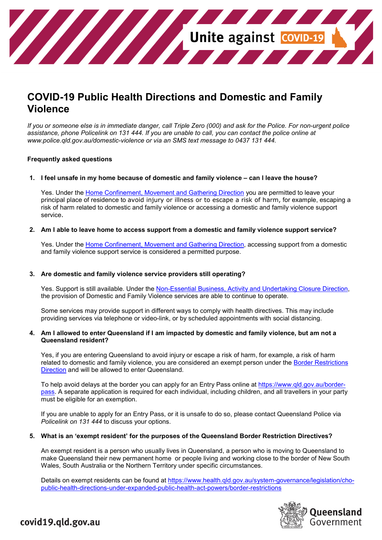

# **COVID-19 Public Health Directions and Domestic and Family Violence**

*If you or someone else is in immediate danger, call Triple Zero (000) and ask for the Police. For non-urgent police assistance, phone Policelink on 131 444. If you are unable to call, you can contact the police online at www.police.qld.gov.au/domestic-violence or via an SMS text message to 0437 131 444.*

#### **Frequently asked questions**

#### **1. I feel unsafe in my home because of domestic and family violence – can I leave the house?**

Yes. Under the [Home Confinement, Movement and Gathering Direction](https://www.health.qld.gov.au/system-governance/legislation/cho-public-health-directions-under-expanded-public-health-act-powers/home-confinement-movement-gathering-direction) you are permitted to leave your principal place of residence to avoid injury or illness or to escape a risk of harm, for example, escaping a risk of harm related to domestic and family violence or accessing a domestic and family violence support service.

#### **2. Am I able to leave home to access support from a domestic and family violence support service?**

Yes. Under the [Home Confinement, Movement and Gathering Direction,](https://www.health.qld.gov.au/system-governance/legislation/cho-public-health-directions-under-expanded-public-health-act-powers/home-confinement-movement-gathering-direction) accessing support from a domestic and family violence support service is considered a permitted purpose.

#### **3. Are domestic and family violence service providers still operating?**

Yes. Support is still available. Under the [Non-Essential Business, Activity and Undertaking Closure Direction,](https://www.health.qld.gov.au/system-governance/legislation/cho-public-health-directions-under-expanded-public-health-act-powers/non-essential-business-closure-direction) the provision of Domestic and Family Violence services are able to continue to operate.

Some services may provide support in different ways to comply with health directives. This may include providing services via telephone or video-link, or by scheduled appointments with social distancing.

#### **4. Am I allowed to enter Queensland if I am impacted by domestic and family violence, but am not a Queensland resident?**

Yes, if you are entering Queensland to avoid injury or escape a risk of harm, for example, a risk of harm related to domestic and family violence, you are considered an exempt person under the [Border Restrictions](https://www.health.qld.gov.au/system-governance/legislation/cho-public-health-directions-under-expanded-public-health-act-powers/border-restrictions)  [Direction](https://www.health.qld.gov.au/system-governance/legislation/cho-public-health-directions-under-expanded-public-health-act-powers/border-restrictions) and will be allowed to enter Queensland.

To help avoid delays at the border you can apply for an Entry Pass online at [https://www.qld.gov.au/border](https://www.qld.gov.au/border-pass)[pass.](https://www.qld.gov.au/border-pass) A separate application is required for each individual, including children, and all travellers in your party must be eligible for an exemption.

If you are unable to apply for an Entry Pass, or it is unsafe to do so, please contact Queensland Police via *Policelink on 131 444* to discuss your options.

#### **5. What is an 'exempt resident' for the purposes of the Queensland Border Restriction Directives?**

An exempt resident is a person who usually lives in Queensland, a person who is moving to Queensland to make Queensland their new permanent home or people living and working close to the border of New South Wales, South Australia or the Northern Territory under specific circumstances.

Details on exempt residents can be found at [https://www.health.qld.gov.au/system-governance/legislation/cho](https://www.health.qld.gov.au/system-governance/legislation/cho-public-health-directions-under-expanded-public-health-act-powers/border-restrictions)[public-health-directions-under-expanded-public-health-act-powers/border-restrictions](https://www.health.qld.gov.au/system-governance/legislation/cho-public-health-directions-under-expanded-public-health-act-powers/border-restrictions)



## covid19.qld.gov.au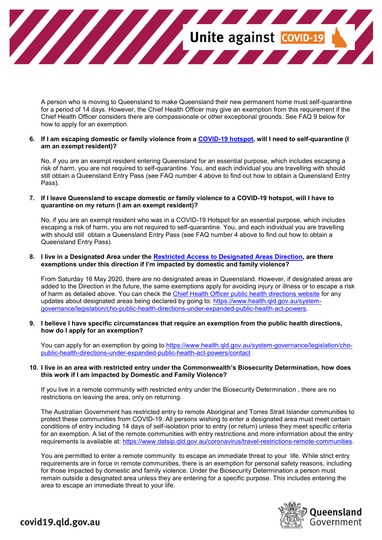

A person who is moving to Queensland to make Queensland their new permanent home must self-quarantine for a period of 14 days. However, the Chief Health Officer may give an exemption from this requirement if the Chief Health Officer considers there are compassionate or other exceptional grounds. See FAQ 9 below for how to apply for an exemption.

#### **6. If I am escaping domestic or family violence from a [COVID-19](https://www.qld.gov.au/health/conditions/health-alerts/coronavirus-covid-19/current-status/hotspots-covid-19) hotspot, will I need to self-quarantine (I am an exempt resident)?**

No, if you are an exempt resident entering Queensland for an essential purpose, which includes escaping a risk of harm, you are not required to self-quarantine. You, and each individual you are travelling with should still obtain a Queensland Entry Pass (see FAQ number 4 above to find out how to obtain a Queensland Entry Pass).

#### **7. If I leave Queensland to escape domestic or family violence to a COVID-19 hotspot, will I have to quarantine on my return (I am an exempt resident)?**

No, if you are an exempt resident who was in a COVID-19 Hotspot for an essential purpose, which includes escaping a risk of harm, you are not required to self-quarantine. You, and each individual you are travelling with should still obtain a Queensland Entry Pass (see FAQ number 4 above to find out how to obtain a Queensland Entry Pass).

#### **8. I live in a Designated Area under the [Restricted Access to Designated Areas Direction,](https://www.health.qld.gov.au/system-governance/legislation/cho-public-health-directions-under-expanded-public-health-act-powers/restricted-access-to-designated-areas-direction) are there exemptions under this direction if I'm impacted by domestic and family violence?**

From Saturday 16 May 2020, there are no designated areas in Queensland. However, if designated areas are added to the Direction in the future, the same exemptions apply for avoiding injury or illness or to escape a risk of harm as detailed above. You can check the [Chief Health Officer public health directions website](https://www.health.qld.gov.au/system-governance/legislation/cho-public-health-directions-under-expanded-public-health-act-powers) for any updates about designated areas being declared by going to: [https://www.health.qld.gov.au/system](https://www.health.qld.gov.au/system-governance/legislation/cho-public-health-directions-under-expanded-public-health-act-powers)[governance/legislation/cho-public-health-directions-under-expanded-public-health-act-powers.](https://www.health.qld.gov.au/system-governance/legislation/cho-public-health-directions-under-expanded-public-health-act-powers)

#### **9. I believe I have specific circumstances that require an exemption from the public health directions, how do I apply for an exemption?**

You can apply for an exemption by going to [https://www.health.qld.gov.au/system-governance/legislation/cho](https://www.health.qld.gov.au/system-governance/legislation/cho-public-health-directions-under-expanded-public-health-act-powers/contact)[public-health-directions-under-expanded-public-health-act-powers/contact](https://www.health.qld.gov.au/system-governance/legislation/cho-public-health-directions-under-expanded-public-health-act-powers/contact)

#### **10. I live in an area with restricted entry under the Commonwealth's Biosecurity Determination, how does this work if I am impacted by Domestic and Family Violence?**

If you live in a remote community with restricted entry under the Biosecurity Determination , there are no restrictions on leaving the area, only on returning.

The Australian Government has restricted entry to remote Aboriginal and Torres Strait Islander communities to protect these communities from COVID-19. All persons wishing to enter a designated area must meet certain conditions of entry including 14 days of self-isolation prior to entry (or return) unless they meet specific criteria for an exemption. A list of the remote communities with entry restrictions and more information about the entry requirements is available at: [https://www.datsip.qld.gov.au/coronavirus/travel-restrictions-remote-communities.](https://www.datsip.qld.gov.au/coronavirus/travel-restrictions-remote-communities)

You are permitted to enter a remote community to escape an immediate threat to your life. While strict entry requirements are in force in remote communities, there is an exemption for personal safety reasons, including for those impacted by domestic and family violence. Under the Biosecurity Determination a person must remain outside a designated area unless they are entering for a specific purpose. This includes entering the area to escape an immediate threat to your life.



## covid19.qld.gov.au